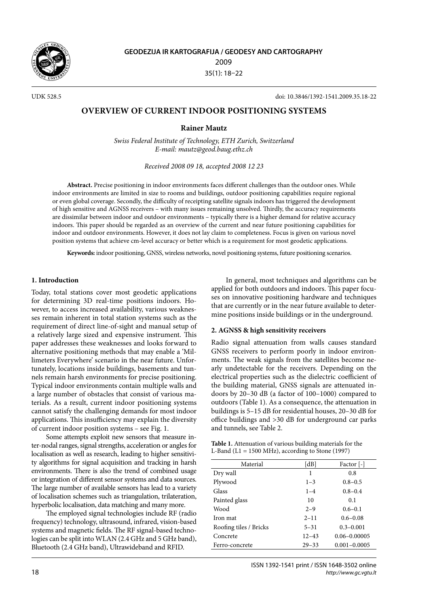

UDK 528.5 doi: 10.3846/1392-1541.2009.35.18-22

# **Overview of Current Indoor Positioning Systems**

**Rainer Mautz**

*Swiss Federal Institute of Technology, ETH Zurich, Switzerland E-mail: mautz@geod.baug.ethz.ch*

*Received 2008 09 18, accepted 2008 12 23*

**Abstract.** Precise positioning in indoor environments faces different challenges than the outdoor ones. While indoor environments are limited in size to rooms and buildings, outdoor positioning capabilities require regional or even global coverage. Secondly, the difficulty of receipting satellite signals indoors has triggered the development of high sensitive and AGNSS receivers – with many issues remaining unsolved. Thirdly, the accuracy requirements are dissimilar between indoor and outdoor environments – typically there is a higher demand for relative accuracy indoors. This paper should be regarded as an overview of the current and near future positioning capabilities for indoor and outdoor environments. However, it does not lay claim to completeness. Focus is given on various novel position systems that achieve cm-level accuracy or better which is a requirement for most geodetic applications.

**Keywords:** indoor positioning, GNSS, wireless networks, novel positioning systems, future positioning scenarios.

## **1. Introduction**

Today, total stations cover most geodetic applications for determining 3D real-time positions indoors. However, to access increased availability, various weaknesses remain inherent in total station systems such as the requirement of direct line-of-sight and manual setup of a relatively large sized and expensive instrument. This paper addresses these weaknesses and looks forward to alternative positioning methods that may enable a 'Millimeters Everywhere' scenario in the near future. Unfortunately, locations inside buildings, basements and tunnels remain harsh environments for precise positioning. Typical indoor environments contain multiple walls and a large number of obstacles that consist of various materials. As a result, current indoor positioning systems cannot satisfy the challenging demands for most indoor applications. This insufficiency may explain the diversity of current indoor position systems – see Fig. 1.

Some attempts exploit new sensors that measure inter-nodal ranges, signal strengths, acceleration or angles for localisation as well as research, leading to higher sensitivity algorithms for signal acquisition and tracking in harsh environments. There is also the trend of combined usage or integration of different sensor systems and data sources. The large number of available sensors has lead to a variety of localisation schemes such as triangulation, trilateration, hyperbolic localisation, data matching and many more.

The employed signal technologies include RF (radio frequency) technology, ultrasound, infrared, vision-based systems and magnetic fields. The RF signal-based technologies can be split into WLAN (2.4 GHz and 5 GHz band), Bluetooth (2.4 GHz band), Ultrawideband and RFID.

In general, most techniques and algorithms can be applied for both outdoors and indoors. This paper focuses on innovative positioning hardware and techniques that are currently or in the near future available to determine positions inside buildings or in the underground.

#### **2. AGNSS & high sensitivity receivers**

Radio signal attenuation from walls causes standard GNSS receivers to perform poorly in indoor environments. The weak signals from the satellites become nearly undetectable for the receivers. Depending on the electrical properties such as the dielectric coefficient of the building material, GNSS signals are attenuated indoors by 20–30 dB (a factor of 100–1000) compared to outdoors (Table 1). As a consequence, the attenuation in buildings is 5–15 dB for residential houses, 20–30 dB for office buildings and >30 dB for underground car parks and tunnels, see Table 2.

| <b>Table 1.</b> Attenuation of various building materials for the |
|-------------------------------------------------------------------|
| L-Band (L1 = 1500 MHz), according to Stone (1997)                 |

| Material               | [dB]      | Factor $\lceil - \rceil$ |
|------------------------|-----------|--------------------------|
| Dry wall               | 1         | 0.8                      |
| Plywood                | $1 - 3$   | $0.8 - 0.5$              |
| Glass                  | $1 - 4$   | $0.8 - 0.4$              |
| Painted glass          | 10        | 0.1                      |
| Wood                   | $2 - 9$   | $0.6 - 0.1$              |
| Iron mat               | $2 - 11$  | $0.6 - 0.08$             |
| Roofing tiles / Bricks | $5 - 31$  | $0.3 - 0.001$            |
| Concrete               | $12 - 43$ | $0.06 - 0.00005$         |
| Ferro-concrete         | $29 - 33$ | $0.001 - 0.0005$         |
|                        |           |                          |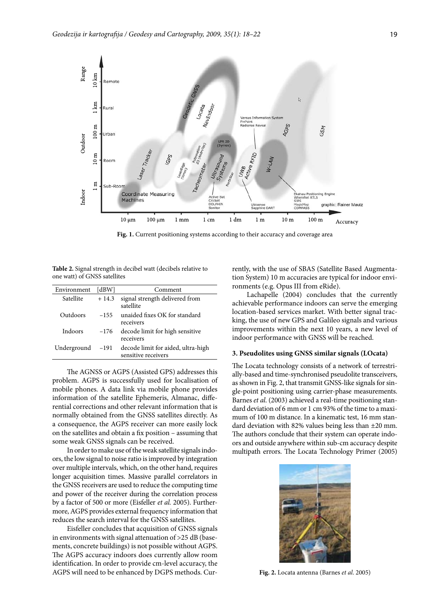

**Fig. 1.** Current positioning systems according to their accuracy and coverage area

**Table 2.** Signal strength in decibel watt (decibels relative to one watt) of GNSS satellites

| Environment | [dBW]   | Comment                                                   |
|-------------|---------|-----------------------------------------------------------|
| Satellite   | $+14.3$ | signal strength delivered from<br>satellite               |
| Outdoors    | $-155$  | unaided fixes OK for standard<br>receivers                |
| Indoors     | $-176$  | decode limit for high sensitive<br>receivers              |
| Underground | $-191$  | decode limit for aided, ultra-high<br>sensitive receivers |
|             |         |                                                           |

The AGNSS or AGPS (Assisted GPS) addresses this problem. AGPS is successfully used for localisation of mobile phones. A data link via mobile phone provides information of the satellite Ephemeris, Almanac, differential corrections and other relevant information that is normally obtained from the GNSS satellites directly. As a consequence, the AGPS receiver can more easily lock on the satellites and obtain a fix position – assuming that some weak GNSS signals can be received.

In order to make use of the weak satellite signals indoors, the low signal to noise ratio is improved by integration over multiple intervals, which, on the other hand, requires longer acquisition times. Massive parallel correlators in the GNSS receivers are used to reduce the computing time and power of the receiver during the correlation process by a factor of 500 or more (Eisfeller *et al.* 2005). Furthermore, AGPS provides external frequency information that reduces the search interval for the GNSS satellites.

Eisfeller concludes that acquisition of GNSS signals in environments with signal attenuation of >25 dB (basements, concrete buildings) is not possible without AGPS. The AGPS accuracy indoors does currently allow room identification. In order to provide cm-level accuracy, the AGPS will need to be enhanced by DGPS methods. Currently, with the use of SBAS (Satellite Based Augmentation System) 10 m accuracies are typical for indoor environments (e.g. Opus III from eRide).

Lachapelle (2004) concludes that the currently achievable performance indoors can serve the emerging location-based services market. With better signal tracking, the use of new GPS and Galileo signals and various improvements within the next 10 years, a new level of indoor performance with GNSS will be reached.

#### **3. Pseudolites using GNSS similar signals (LOcata)**

The Locata technology consists of a network of terrestrially-based and time-synchronised pseudolite transceivers, as shown in Fig. 2, that transmit GNSS-like signals for single-point positioning using carrier-phase measurements. Barnes *et al*. (2003) achieved a real-time positioning standard deviation of 6 mm or 1 cm 93% of the time to a maximum of 100 m distance. In a kinematic test, 16 mm standard deviation with 82% values being less than ±20 mm. The authors conclude that their system can operate indoors and outside anywhere within sub-cm accuracy despite multipath errors. The Locata Technology Primer (2005)



**Fig. 2.** Locata antenna (Barnes *et al*. 2005)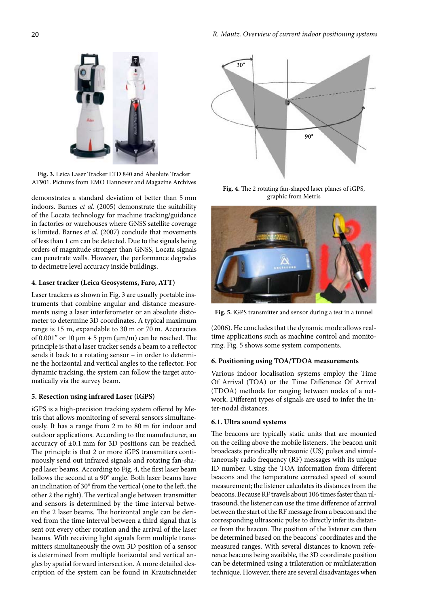

**Fig. 3.** Leica Laser Tracker LTD 840 and Absolute Tracker AT901. Pictures from EMO Hannover and Magazine Archives

demonstrates a standard deviation of better than 5 mm indoors. Barnes *et al.* (2005) demonstrate the suitability of the Locata technology for machine tracking/guidance in factories or warehouses where GNSS satellite coverage is limited. Barnes *et al.* (2007) conclude that movements of less than 1 cm can be detected. Due to the signals being orders of magnitude stronger than GNSS, Locata signals can penetrate walls. However, the performance degrades to decimetre level accuracy inside buildings.

## **4. Laser tracker (Leica Geosystems, Faro, ATT)**

Laser trackers as shown in Fig. 3 are usually portable instruments that combine angular and distance measurements using a laser interferometer or an absolute distometer to determine 3D coordinates. A typical maximum range is 15 m, expandable to 30 m or 70 m. Accuracies of 0.001" or 10 μm + 5 ppm (μm/m) can be reached. The principle is that a laser tracker sends a beam to a reflector sends it back to a rotating sensor – in order to determine the horizontal and vertical angles to the reflector. For dynamic tracking, the system can follow the target automatically via the survey beam.

#### **5. Resection using infrared Laser (iGPS)**

iGPS is a high-precision tracking system offered by Metris that allows monitoring of several sensors simultaneously. It has a range from 2 m to 80 m for indoor and outdoor applications. According to the manufacturer, an accuracy of ±0.1 mm for 3D positions can be reached. The principle is that 2 or more iGPS transmitters continuously send out infrared signals and rotating fan-shaped laser beams. According to Fig. 4, the first laser beam follows the second at a 90° angle. Both laser beams have an inclination of 30° from the vertical (one to the left, the other 2 the right). The vertical angle between transmitter and sensors is determined by the time interval between the 2 laser beams. The horizontal angle can be derived from the time interval between a third signal that is sent out every other rotation and the arrival of the laser beams. With receiving light signals form multiple transmitters simultaneously the own 3D position of a sensor is determined from multiple horizontal and vertical angles by spatial forward intersection. A more detailed description of the system can be found in Krautschneider



**Fig. 4.** The 2 rotating fan-shaped laser planes of iGPS, graphic from Metris



**Fig. 5.** iGPS transmitter and sensor during a test in a tunnel

(2006). He concludes that the dynamic mode allows realtime applications such as machine control and monitoring. Fig. 5 shows some system components.

#### **6. Positioning using TOA/TDOA measurements**

Various indoor localisation systems employ the Time Of Arrival (TOA) or the Time Difference Of Arrival (TDOA) methods for ranging between nodes of a network. Different types of signals are used to infer the inter-nodal distances.

## **6.1. Ultra sound systems**

The beacons are typically static units that are mounted on the ceiling above the mobile listeners. The beacon unit broadcasts periodically ultrasonic (US) pulses and simultaneously radio frequency (RF) messages with its unique ID number. Using the TOA information from different beacons and the temperature corrected speed of sound measurement; the listener calculates its distances from the beacons. Because RF travels about 106 times faster than ultrasound, the listener can use the time difference of arrival between the start of the RF message from a beacon and the corresponding ultrasonic pulse to directly infer its distance from the beacon. The position of the listener can then be determined based on the beacons' coordinates and the measured ranges. With several distances to known reference beacons being available, the 3D coordinate position can be determined using a trilateration or multilateration technique. However, there are several disadvantages when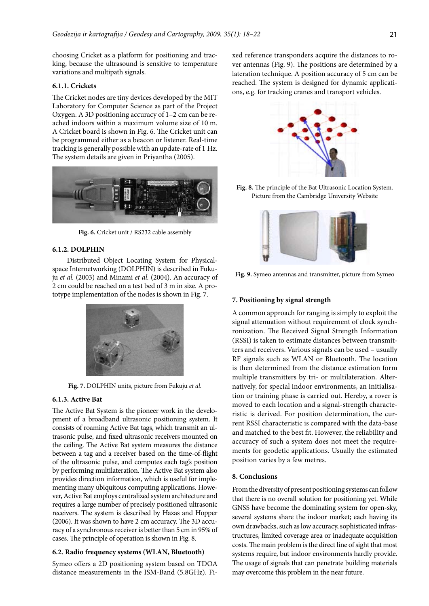choosing Cricket as a platform for positioning and tracking, because the ultrasound is sensitive to temperature variations and multipath signals.

#### **6.1.1. Crickets**

The Cricket nodes are tiny devices developed by the MIT Laboratory for Computer Science as part of the Project Oxygen. A 3D positioning accuracy of 1–2 cm can be reached indoors within a maximum volume size of 10 m. A Cricket board is shown in Fig. 6. The Cricket unit can be programmed either as a beacon or listener. Real-time tracking is generally possible with an update-rate of 1 Hz. The system details are given in Priyantha (2005).



**Fig. 6.** Cricket unit / RS232 cable assembly

## **6.1.2. DOLPHIN**

Distributed Object Locating System for Physicalspace Internetworking (DOLPHIN) is described in Fukuju *et al.* (2003) and Minami *et al.* (2004). An accuracy of 2 cm could be reached on a test bed of 3 m in size. A prototype implementation of the nodes is shown in Fig. 7.



**Fig. 7.** DOLPHIN units, picture from Fukuju *et al.*

#### **6.1.3. Active Bat**

The Active Bat System is the pioneer work in the development of a broadband ultrasonic positioning system. It consists of roaming Active Bat tags, which transmit an ultrasonic pulse, and fixed ultrasonic receivers mounted on the ceiling. The Active Bat system measures the distance between a tag and a receiver based on the time-of-flight of the ultrasonic pulse, and computes each tag's position by performing multilateration. The Active Bat system also provides direction information, which is useful for implementing many ubiquitous computing applications. However, Active Bat employs centralized system architecture and requires a large number of precisely positioned ultrasonic receivers. The system is described by Hazas and Hopper (2006). It was shown to have 2 cm accuracy. The 3D accuracy of a synchronous receiver is better than 5 cm in 95% of cases. The principle of operation is shown in Fig. 8.

#### **6.2. Radio frequency systems (WLAN, Bluetooth)**

Symeo offers a 2D positioning system based on TDOA distance measurements in the ISM-Band (5.8GHz). Fixed reference transponders acquire the distances to rover antennas (Fig. 9). The positions are determined by a lateration technique. A position accuracy of 5 cm can be reached. The system is designed for dynamic applications, e.g. for tracking cranes and transport vehicles.



**Fig. 8.** The principle of the Bat Ultrasonic Location System. Picture from the Cambridge University Website



**Fig. 9.** Symeo antennas and transmitter, picture from Symeo

#### **7. Positioning by signal strength**

A common approach for ranging is simply to exploit the signal attenuation without requirement of clock synchronization. The Received Signal Strength Information (RSSI) is taken to estimate distances between transmitters and receivers. Various signals can be used – usually RF signals such as WLAN or Bluetooth. The location is then determined from the distance estimation form multiple transmitters by tri- or multilateration. Alternatively, for special indoor environments, an initialisation or training phase is carried out. Hereby, a rover is moved to each location and a signal-strength characteristic is derived. For position determination, the current RSSI characteristic is compared with the data-base and matched to the best fit. However, the reliability and accuracy of such a system does not meet the requirements for geodetic applications. Usually the estimated position varies by a few metres.

#### **8. Conclusions**

From the diversity of present positioning systems can follow that there is no overall solution for positioning yet. While GNSS have become the dominating system for open-sky, several systems share the indoor market; each having its own drawbacks, such as low accuracy, sophisticated infrastructures, limited coverage area or inadequate acquisition costs. The main problem is the direct line of sight that most systems require, but indoor environments hardly provide. The usage of signals that can penetrate building materials may overcome this problem in the near future.